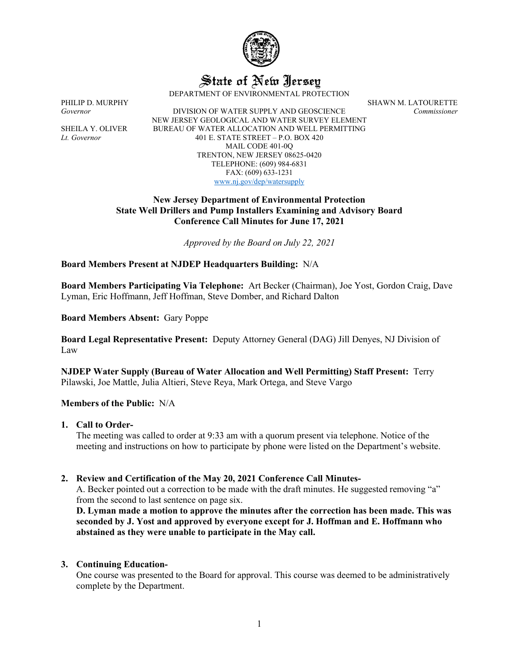

# State of New Iersey

DEPARTMENT OF ENVIRONMENTAL PROTECTION

*Governor* DIVISION OF WATER SUPPLY AND GEOSCIENCE *Commissioner* NEW JERSEY GEOLOGICAL AND WATER SURVEY ELEMENT SHEILA Y. OLIVER BUREAU OF WATER ALLOCATION AND WELL PERMITTING *Lt. Governor* 401 E. STATE STREET – P.O. BOX 420 MAIL CODE 401-0Q TRENTON, NEW JERSEY 08625-0420 TELEPHONE: (609) 984-6831 FAX: (609) 633-1231 [www.nj.gov/dep/watersupply](http://www.nj.gov/dep/watersupply)

PHILIP D. MURPHY SHAWN M. LATOURETTE

## **New Jersey Department of Environmental Protection State Well Drillers and Pump Installers Examining and Advisory Board Conference Call Minutes for June 17, 2021**

*Approved by the Board on July 22, 2021*

### **Board Members Present at NJDEP Headquarters Building:** N/A

**Board Members Participating Via Telephone:** Art Becker (Chairman), Joe Yost, Gordon Craig, Dave Lyman, Eric Hoffmann, Jeff Hoffman, Steve Domber, and Richard Dalton

**Board Members Absent:** Gary Poppe

**Board Legal Representative Present:** Deputy Attorney General (DAG) Jill Denyes, NJ Division of Law

**NJDEP Water Supply (Bureau of Water Allocation and Well Permitting) Staff Present:** Terry Pilawski, Joe Mattle, Julia Altieri, Steve Reya, Mark Ortega, and Steve Vargo

#### **Members of the Public:** N/A

#### **1. Call to Order-**

The meeting was called to order at 9:33 am with a quorum present via telephone. Notice of the meeting and instructions on how to participate by phone were listed on the Department's website.

## **2. Review and Certification of the May 20, 2021 Conference Call Minutes-**

A. Becker pointed out a correction to be made with the draft minutes. He suggested removing "a" from the second to last sentence on page six.

**D. Lyman made a motion to approve the minutes after the correction has been made. This was seconded by J. Yost and approved by everyone except for J. Hoffman and E. Hoffmann who abstained as they were unable to participate in the May call.**

## **3. Continuing Education-**

One course was presented to the Board for approval. This course was deemed to be administratively complete by the Department.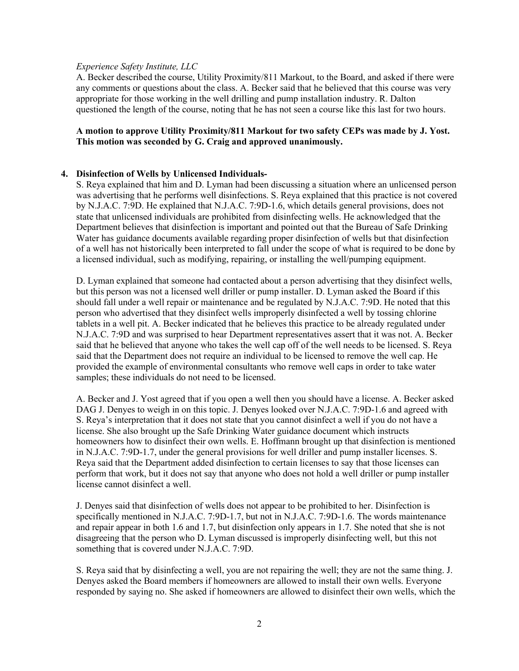#### *Experience Safety Institute, LLC*

A. Becker described the course, Utility Proximity/811 Markout, to the Board, and asked if there were any comments or questions about the class. A. Becker said that he believed that this course was very appropriate for those working in the well drilling and pump installation industry. R. Dalton questioned the length of the course, noting that he has not seen a course like this last for two hours.

## **A motion to approve Utility Proximity/811 Markout for two safety CEPs was made by J. Yost. This motion was seconded by G. Craig and approved unanimously.**

### **4. Disinfection of Wells by Unlicensed Individuals-**

S. Reya explained that him and D. Lyman had been discussing a situation where an unlicensed person was advertising that he performs well disinfections. S. Reya explained that this practice is not covered by N.J.A.C. 7:9D. He explained that N.J.A.C. 7:9D-1.6, which details general provisions, does not state that unlicensed individuals are prohibited from disinfecting wells. He acknowledged that the Department believes that disinfection is important and pointed out that the Bureau of Safe Drinking Water has guidance documents available regarding proper disinfection of wells but that disinfection of a well has not historically been interpreted to fall under the scope of what is required to be done by a licensed individual, such as modifying, repairing, or installing the well/pumping equipment.

D. Lyman explained that someone had contacted about a person advertising that they disinfect wells, but this person was not a licensed well driller or pump installer. D. Lyman asked the Board if this should fall under a well repair or maintenance and be regulated by N.J.A.C. 7:9D. He noted that this person who advertised that they disinfect wells improperly disinfected a well by tossing chlorine tablets in a well pit. A. Becker indicated that he believes this practice to be already regulated under N.J.A.C. 7:9D and was surprised to hear Department representatives assert that it was not. A. Becker said that he believed that anyone who takes the well cap off of the well needs to be licensed. S. Reya said that the Department does not require an individual to be licensed to remove the well cap. He provided the example of environmental consultants who remove well caps in order to take water samples; these individuals do not need to be licensed.

A. Becker and J. Yost agreed that if you open a well then you should have a license. A. Becker asked DAG J. Denyes to weigh in on this topic. J. Denyes looked over N.J.A.C. 7:9D-1.6 and agreed with S. Reya's interpretation that it does not state that you cannot disinfect a well if you do not have a license. She also brought up the Safe Drinking Water guidance document which instructs homeowners how to disinfect their own wells. E. Hoffmann brought up that disinfection is mentioned in N.J.A.C. 7:9D-1.7, under the general provisions for well driller and pump installer licenses. S. Reya said that the Department added disinfection to certain licenses to say that those licenses can perform that work, but it does not say that anyone who does not hold a well driller or pump installer license cannot disinfect a well.

J. Denyes said that disinfection of wells does not appear to be prohibited to her. Disinfection is specifically mentioned in N.J.A.C. 7:9D-1.7, but not in N.J.A.C. 7:9D-1.6. The words maintenance and repair appear in both 1.6 and 1.7, but disinfection only appears in 1.7. She noted that she is not disagreeing that the person who D. Lyman discussed is improperly disinfecting well, but this not something that is covered under N.J.A.C. 7:9D.

S. Reya said that by disinfecting a well, you are not repairing the well; they are not the same thing. J. Denyes asked the Board members if homeowners are allowed to install their own wells. Everyone responded by saying no. She asked if homeowners are allowed to disinfect their own wells, which the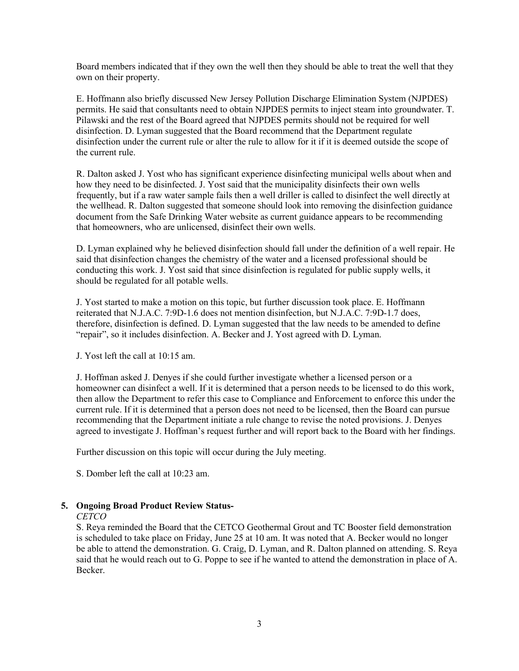Board members indicated that if they own the well then they should be able to treat the well that they own on their property.

E. Hoffmann also briefly discussed New Jersey Pollution Discharge Elimination System (NJPDES) permits. He said that consultants need to obtain NJPDES permits to inject steam into groundwater. T. Pilawski and the rest of the Board agreed that NJPDES permits should not be required for well disinfection. D. Lyman suggested that the Board recommend that the Department regulate disinfection under the current rule or alter the rule to allow for it if it is deemed outside the scope of the current rule.

R. Dalton asked J. Yost who has significant experience disinfecting municipal wells about when and how they need to be disinfected. J. Yost said that the municipality disinfects their own wells frequently, but if a raw water sample fails then a well driller is called to disinfect the well directly at the wellhead. R. Dalton suggested that someone should look into removing the disinfection guidance document from the Safe Drinking Water website as current guidance appears to be recommending that homeowners, who are unlicensed, disinfect their own wells.

D. Lyman explained why he believed disinfection should fall under the definition of a well repair. He said that disinfection changes the chemistry of the water and a licensed professional should be conducting this work. J. Yost said that since disinfection is regulated for public supply wells, it should be regulated for all potable wells.

J. Yost started to make a motion on this topic, but further discussion took place. E. Hoffmann reiterated that N.J.A.C. 7:9D-1.6 does not mention disinfection, but N.J.A.C. 7:9D-1.7 does, therefore, disinfection is defined. D. Lyman suggested that the law needs to be amended to define "repair", so it includes disinfection. A. Becker and J. Yost agreed with D. Lyman.

J. Yost left the call at 10:15 am.

J. Hoffman asked J. Denyes if she could further investigate whether a licensed person or a homeowner can disinfect a well. If it is determined that a person needs to be licensed to do this work, then allow the Department to refer this case to Compliance and Enforcement to enforce this under the current rule. If it is determined that a person does not need to be licensed, then the Board can pursue recommending that the Department initiate a rule change to revise the noted provisions. J. Denyes agreed to investigate J. Hoffman's request further and will report back to the Board with her findings.

Further discussion on this topic will occur during the July meeting.

S. Domber left the call at 10:23 am.

#### **5. Ongoing Broad Product Review Status-**

#### *CETCO*

S. Reya reminded the Board that the CETCO Geothermal Grout and TC Booster field demonstration is scheduled to take place on Friday, June 25 at 10 am. It was noted that A. Becker would no longer be able to attend the demonstration. G. Craig, D. Lyman, and R. Dalton planned on attending. S. Reya said that he would reach out to G. Poppe to see if he wanted to attend the demonstration in place of A. Becker.